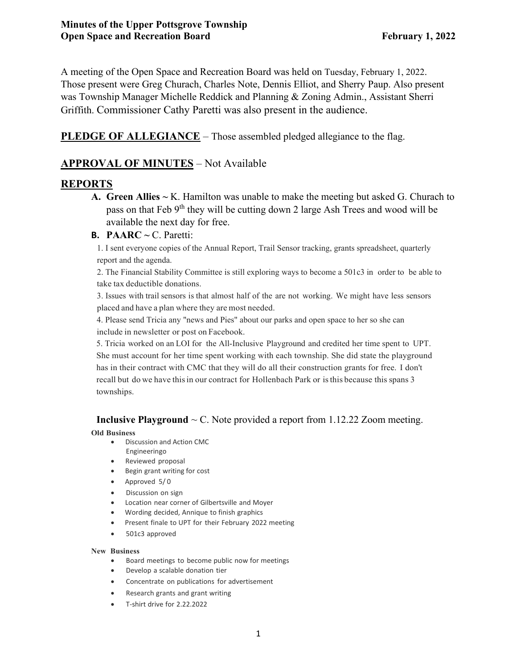A meeting of the Open Space and Recreation Board was held on Tuesday, February 1, 2022. Those present were Greg Churach, Charles Note, Dennis Elliot, and Sherry Paup. Also present was Township Manager Michelle Reddick and Planning & Zoning Admin., Assistant Sherri Griffith. Commissioner Cathy Paretti was also present in the audience.

**PLEDGE OF ALLEGIANCE** – Those assembled pledged allegiance to the flag.

# **APPROVAL OF MINUTES** – Not Available

# **REPORTS**

**A. Green Allies ~** K. Hamilton was unable to make the meeting but asked G. Churach to pass on that Feb 9<sup>th</sup> they will be cutting down 2 large Ash Trees and wood will be available the next day for free.

# **B. PAARC ~** C. Paretti:

1. I sent everyone copies of the Annual Report, Trail Sensor tracking, grants spreadsheet, quarterly report and the agenda.

2. The Financial Stability Committee is still exploring ways to become a 501c3 in order to be able to take tax deductible donations.

3. Issues with trail sensors is that almost half of the are not working. We might have less sensors placed and have a plan where they are most needed.

4. Please send Tricia any "news and Pies" about our parks and open space to her so she can include in newsletter or post on Facebook.

5. Tricia worked on an LOI for the All-Inclusive Playground and credited her time spent to UPT. She must account for her time spent working with each township. She did state the playground has in their contract with CMC that they will do all their construction grants for free. I don't recall but do we have thisin our contract for Hollenbach Park or isthis because this spans 3 townships.

# **Inclusive Playground**  $\sim$  C. Note provided a report from 1.12.22 Zoom meeting.

#### **Old Business**

- Discussion and Action CMC Engineeringo
- Reviewed proposal
- Begin grant writing for cost
- Approved 5/ 0
- Discussion on sign
- Location near corner of Gilbertsville and Moyer
- Wording decided, Annique to finish graphics
- Present finale to UPT for their February 2022 meeting
- 501c3 approved

#### **New Business**

- Board meetings to become public now for meetings
- Develop a scalable donation tier
- Concentrate on publications for advertisement
- Research grants and grant writing
- T-shirt drive for 2.22.2022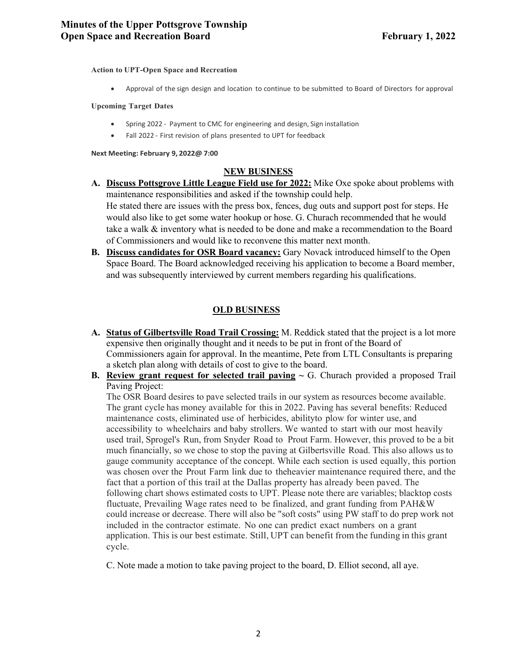**Action to UPT-Open Space and Recreation**

• Approval of the sign design and location to continue to be submitted to Board of Directors for approval

#### **Upcoming Target Dates**

- Spring 2022 Payment to CMC for engineering and design, Sign installation
- Fall 2022 First revision of plans presented to UPT for feedback

**Next Meeting: February 9, 2022@ 7:00**

### **NEW BUSINESS**

- **A. Discuss Pottsgrove Little League Field use for 2022:** Mike Oxe spoke about problems with maintenance responsibilities and asked if the township could help. He stated there are issues with the press box, fences, dug outs and support post for steps. He would also like to get some water hookup or hose. G. Churach recommended that he would take a walk & inventory what is needed to be done and make a recommendation to the Board of Commissioners and would like to reconvene this matter next month.
- **B. Discuss candidates for OSR Board vacancy:** Gary Novack introduced himself to the Open Space Board. The Board acknowledged receiving his application to become a Board member, and was subsequently interviewed by current members regarding his qualifications.

## **OLD BUSINESS**

- **A. Status of Gilbertsville Road Trail Crossing:** M. Reddick stated that the project is a lot more expensive then originally thought and it needs to be put in front of the Board of Commissioners again for approval. In the meantime, Pete from LTL Consultants is preparing a sketch plan along with details of cost to give to the board.
- **B.** Review grant request for selected trail paving  $\sim$  G. Churach provided a proposed Trail Paving Project:

The OSR Board desires to pave selected trails in our system as resources become available. The grant cycle has money available for this in 2022. Paving has several benefits: Reduced maintenance costs, eliminated use of herbicides, abilityto plow for winter use, and accessibility to wheelchairs and baby strollers. We wanted to start with our most heavily used trail, Sprogel's Run, from Snyder Road to Prout Farm. However, this proved to be a bit much financially, so we chose to stop the paving at Gilbertsville Road. This also allows us to gauge community acceptance of the concept. While each section is used equally, this portion was chosen over the Prout Farm link due to theheavier maintenance required there, and the fact that a portion of this trail at the Dallas property has already been paved. The following chart shows estimated costs to UPT. Please note there are variables; blacktop costs fluctuate, Prevailing Wage rates need to be finalized, and grant funding from PAH&W could increase or decrease. There will also be "soft costs" using PW staff to do prep work not included in the contractor estimate. No one can predict exact numbers on a grant application. This is our best estimate. Still, UPT can benefit from the funding in this grant cycle.

C. Note made a motion to take paving project to the board, D. Elliot second, all aye.